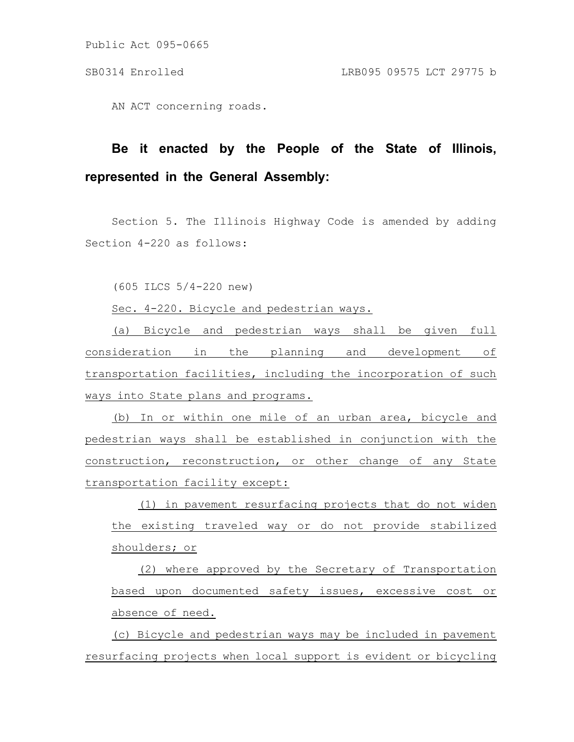Public Act 095-0665

AN ACT concerning roads.

## **Be it enacted by the People of the State of Illinois, represented in the General Assembly:**

Section 5. The Illinois Highway Code is amended by adding Section 4-220 as follows:

(605 ILCS 5/4-220 new)

Sec. 4-220. Bicycle and pedestrian ways.

(a) Bicycle and pedestrian ways shall be given full consideration in the planning and development of transportation facilities, including the incorporation of such ways into State plans and programs.

(b) In or within one mile of an urban area, bicycle and pedestrian ways shall be established in conjunction with the construction, reconstruction, or other change of any State transportation facility except:

(1) in pavement resurfacing projects that do not widen the existing traveled way or do not provide stabilized shoulders; or

(2) where approved by the Secretary of Transportation based upon documented safety issues, excessive cost or absence of need.

(c) Bicycle and pedestrian ways may be included in pavement resurfacing projects when local support is evident or bicycling